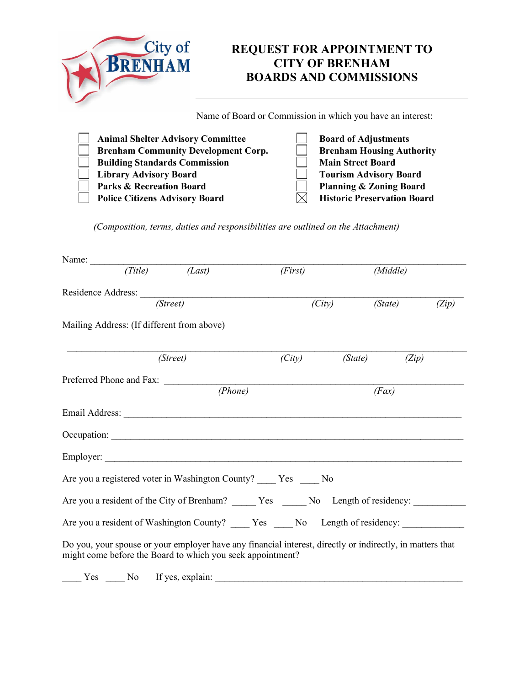| City of<br><b>RENHAM</b>                                                               | <b>REQUEST FOR APPOINTMENT TO</b><br><b>CITY OF BRENHAM</b><br><b>BOARDS AND COMMISSIONS</b> |
|----------------------------------------------------------------------------------------|----------------------------------------------------------------------------------------------|
|                                                                                        | Name of Board or Commission in which you have an interest:                                   |
| <b>Animal Shelter Advisory Committee</b><br><b>Brenham Community Development Corp.</b> | <b>Board of Adjustments</b><br><b>Brenham Housing Authority</b>                              |

| Building Standards Commission                           | Main Street Board                   |
|---------------------------------------------------------|-------------------------------------|
| Library Advisory Board                                  | Tourism Advisory Board              |
| $\overline{a}$ Double $\overline{a}$ . Dogwoodian Dogwa | $\Box$ Donning $\ell$ , Zoning Doom |

**Main Street Board Parks & Recreation Board Planning & Zoning Board**

**Police Citizens Advisory Board**  $\boxtimes$ 

*(Composition, terms, duties and responsibilities are outlined on the Attachment)*

| Name: $\frac{1}{\sqrt{1-\frac{1}{2}}\cdot\frac{1}{2}}$                                                                                                                  |                     |         |         |          |       |
|-------------------------------------------------------------------------------------------------------------------------------------------------------------------------|---------------------|---------|---------|----------|-------|
| (Title)                                                                                                                                                                 | (Last)              | (First) |         | (Middle) |       |
|                                                                                                                                                                         |                     |         |         |          |       |
|                                                                                                                                                                         | (Street)            | (City)  |         | (State)  | (Zip) |
| Mailing Address: (If different from above)                                                                                                                              |                     |         |         |          |       |
|                                                                                                                                                                         | (Street)            | (City)  | (State) | (Zip)    |       |
| Preferred Phone and Fax:                                                                                                                                                |                     |         |         |          |       |
|                                                                                                                                                                         | (Phone)             | (Fax)   |         |          |       |
|                                                                                                                                                                         |                     |         |         |          |       |
|                                                                                                                                                                         |                     |         |         |          |       |
|                                                                                                                                                                         |                     |         |         |          |       |
| Are you a registered voter in Washington County? _____ Yes _____ No                                                                                                     |                     |         |         |          |       |
| Are you a resident of the City of Brenham? ______ Yes ______ No Length of residency: ___________                                                                        |                     |         |         |          |       |
| Are you a resident of Washington County? _____ Yes _____ No Length of residency: _____________                                                                          |                     |         |         |          |       |
| Do you, your spouse or your employer have any financial interest, directly or indirectly, in matters that<br>might come before the Board to which you seek appointment? |                     |         |         |          |       |
| Yes                                                                                                                                                                     | No If yes, explain: |         |         |          |       |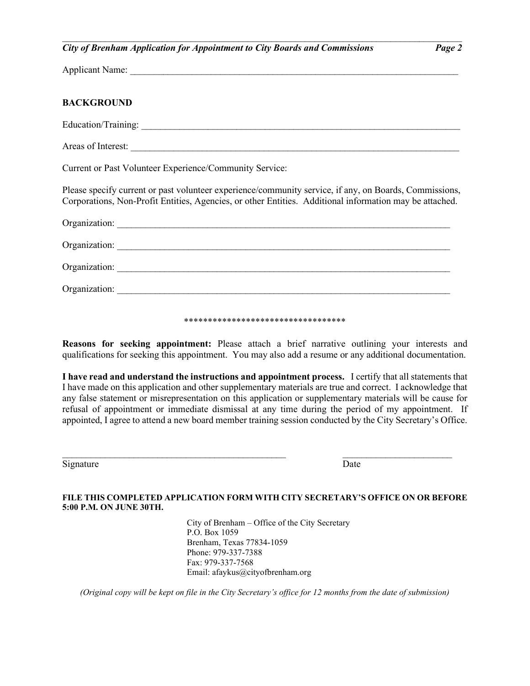Applicant Name:

## **BACKGROUND**

| Current or Past Volunteer Experience/Community Service:                                                                                                                                                           |
|-------------------------------------------------------------------------------------------------------------------------------------------------------------------------------------------------------------------|
| Please specify current or past volunteer experience/community service, if any, on Boards, Commissions,<br>Corporations, Non-Profit Entities, Agencies, or other Entities. Additional information may be attached. |
|                                                                                                                                                                                                                   |
|                                                                                                                                                                                                                   |
|                                                                                                                                                                                                                   |
|                                                                                                                                                                                                                   |
|                                                                                                                                                                                                                   |

 $\mathcal{L}_\text{max}$  , and the contract of the contract of the contract of the contract of the contract of the contract of

## \*\*\*\*\*\*\*\*\*\*\*\*\*\*\*\*\*\*\*\*\*\*\*\*\*\*\*\*\*\*\*\*\*\*

**Reasons for seeking appointment:** Please attach a brief narrative outlining your interests and qualifications for seeking this appointment. You may also add a resume or any additional documentation.

**I have read and understand the instructions and appointment process.** I certify that all statements that I have made on this application and other supplementary materials are true and correct. I acknowledge that any false statement or misrepresentation on this application or supplementary materials will be cause for refusal of appointment or immediate dismissal at any time during the period of my appointment. If appointed, I agree to attend a new board member training session conducted by the City Secretary's Office.

Signature Date

## **FILE THIS COMPLETED APPLICATION FORM WITH CITY SECRETARY'S OFFICE ON OR BEFORE 5:00 P.M. ON JUNE 30TH.**

 $\_$  , and the contribution of the contribution of  $\mathcal{L}_\mathcal{A}$  , and the contribution of  $\mathcal{L}_\mathcal{A}$ 

City of Brenham – Office of the City Secretary P.O. Box 1059 Brenham, Texas 77834-1059 Phone: 979-337-7388 Fax: 979-337-7568 Email: afaykus@cityofbrenham.org

*(Original copy will be kept on file in the City Secretary's office for 12 months from the date of submission)*